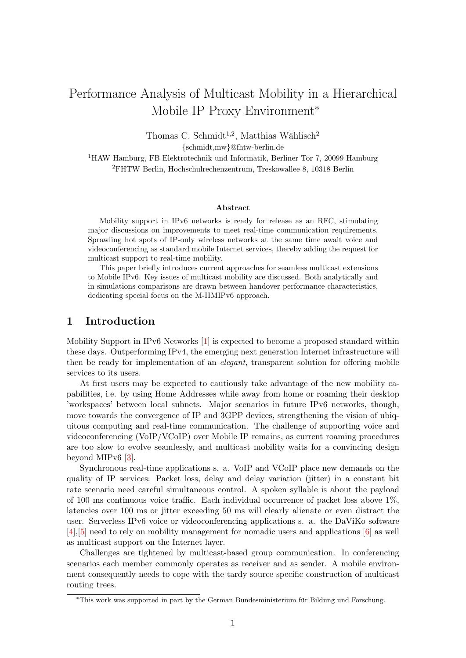# Performance Analysis of Multicast Mobility in a Hierarchical Mobile IP Proxy Environment<sup>∗</sup>

Thomas C. Schmidt<sup>1,2</sup>, Matthias Wählisch<sup>2</sup>

{schmidt,mw}@fhtw-berlin.de

<sup>1</sup>HAW Hamburg, FB Elektrotechnik und Informatik, Berliner Tor 7, 20099 Hamburg <sup>2</sup>FHTW Berlin, Hochschulrechenzentrum, Treskowallee 8, 10318 Berlin

#### Abstract

Mobility support in IPv6 networks is ready for release as an RFC, stimulating major discussions on improvements to meet real-time communication requirements. Sprawling hot spots of IP-only wireless networks at the same time await voice and videoconferencing as standard mobile Internet services, thereby adding the request for multicast support to real-time mobility.

This paper briefly introduces current approaches for seamless multicast extensions to Mobile IPv6. Key issues of multicast mobility are discussed. Both analytically and in simulations comparisons are drawn between handover performance characteristics, dedicating special focus on the M-HMIPv6 approach.

# 1 Introduction

Mobility Support in IPv6 Networks [\[1\]](#page-9-0) is expected to become a proposed standard within these days. Outperforming IPv4, the emerging next generation Internet infrastructure will then be ready for implementation of an *elegant*, transparent solution for offering mobile services to its users.

At first users may be expected to cautiously take advantage of the new mobility capabilities, i.e. by using Home Addresses while away from home or roaming their desktop 'workspaces' between local subnets. Major scenarios in future IPv6 networks, though, move towards the convergence of IP and 3GPP devices, strengthening the vision of ubiquitous computing and real-time communication. The challenge of supporting voice and videoconferencing (VoIP/VCoIP) over Mobile IP remains, as current roaming procedures are too slow to evolve seamlessly, and multicast mobility waits for a convincing design beyond MIPv6 [\[3\]](#page-9-1).

Synchronous real-time applications s. a. VoIP and VCoIP place new demands on the quality of IP services: Packet loss, delay and delay variation (jitter) in a constant bit rate scenario need careful simultaneous control. A spoken syllable is about the payload of 100 ms continuous voice traffic. Each individual occurrence of packet loss above 1%, latencies over 100 ms or jitter exceeding 50 ms will clearly alienate or even distract the user. Serverless IPv6 voice or videoconferencing applications s. a. the DaViKo software [\[4\]](#page-9-2),[\[5\]](#page-9-3) need to rely on mobility management for nomadic users and applications [\[6\]](#page-10-0) as well as multicast support on the Internet layer.

Challenges are tightened by multicast-based group communication. In conferencing scenarios each member commonly operates as receiver and as sender. A mobile environment consequently needs to cope with the tardy source specific construction of multicast routing trees.

<sup>∗</sup>This work was supported in part by the German Bundesministerium fur Bildung und Forschung. ¨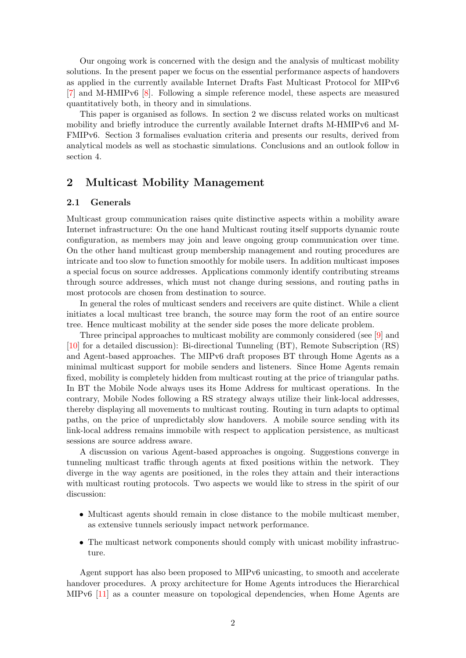Our ongoing work is concerned with the design and the analysis of multicast mobility solutions. In the present paper we focus on the essential performance aspects of handovers as applied in the currently available Internet Drafts Fast Multicast Protocol for MIPv6 [\[7\]](#page-10-1) and M-HMIPv6 [\[8\]](#page-10-2). Following a simple reference model, these aspects are measured quantitatively both, in theory and in simulations.

This paper is organised as follows. In section 2 we discuss related works on multicast mobility and briefly introduce the currently available Internet drafts M-HMIPv6 and M-FMIPv6. Section 3 formalises evaluation criteria and presents our results, derived from analytical models as well as stochastic simulations. Conclusions and an outlook follow in section 4.

# 2 Multicast Mobility Management

## 2.1 Generals

Multicast group communication raises quite distinctive aspects within a mobility aware Internet infrastructure: On the one hand Multicast routing itself supports dynamic route configuration, as members may join and leave ongoing group communication over time. On the other hand multicast group membership management and routing procedures are intricate and too slow to function smoothly for mobile users. In addition multicast imposes a special focus on source addresses. Applications commonly identify contributing streams through source addresses, which must not change during sessions, and routing paths in most protocols are chosen from destination to source.

In general the roles of multicast senders and receivers are quite distinct. While a client initiates a local multicast tree branch, the source may form the root of an entire source tree. Hence multicast mobility at the sender side poses the more delicate problem.

Three principal approaches to multicast mobility are commonly considered (see [\[9\]](#page-10-3) and [\[10\]](#page-10-4) for a detailed discussion): Bi-directional Tunneling (BT), Remote Subscription (RS) and Agent-based approaches. The MIPv6 draft proposes BT through Home Agents as a minimal multicast support for mobile senders and listeners. Since Home Agents remain fixed, mobility is completely hidden from multicast routing at the price of triangular paths. In BT the Mobile Node always uses its Home Address for multicast operations. In the contrary, Mobile Nodes following a RS strategy always utilize their link-local addresses, thereby displaying all movements to multicast routing. Routing in turn adapts to optimal paths, on the price of unpredictably slow handovers. A mobile source sending with its link-local address remains immobile with respect to application persistence, as multicast sessions are source address aware.

A discussion on various Agent-based approaches is ongoing. Suggestions converge in tunneling multicast traffic through agents at fixed positions within the network. They diverge in the way agents are positioned, in the roles they attain and their interactions with multicast routing protocols. Two aspects we would like to stress in the spirit of our discussion:

- Multicast agents should remain in close distance to the mobile multicast member, as extensive tunnels seriously impact network performance.
- The multicast network components should comply with unicast mobility infrastructure.

Agent support has also been proposed to MIPv6 unicasting, to smooth and accelerate handover procedures. A proxy architecture for Home Agents introduces the Hierarchical MIPv6 [\[11\]](#page-10-5) as a counter measure on topological dependencies, when Home Agents are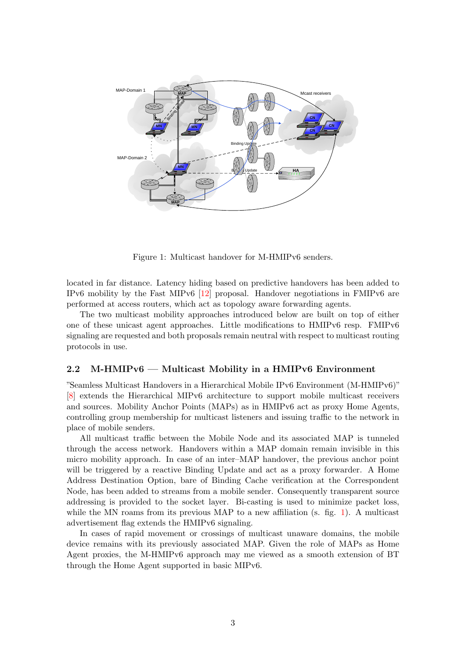

<span id="page-2-0"></span>Figure 1: Multicast handover for M-HMIPv6 senders.

located in far distance. Latency hiding based on predictive handovers has been added to IPv6 mobility by the Fast MIPv6 [\[12\]](#page-10-6) proposal. Handover negotiations in FMIPv6 are performed at access routers, which act as topology aware forwarding agents.

The two multicast mobility approaches introduced below are built on top of either one of these unicast agent approaches. Little modifications to HMIPv6 resp. FMIPv6 signaling are requested and both proposals remain neutral with respect to multicast routing protocols in use.

#### 2.2 M-HMIPv6 — Multicast Mobility in a HMIPv6 Environment

"Seamless Multicast Handovers in a Hierarchical Mobile IPv6 Environment (M-HMIPv6)" [\[8\]](#page-10-2) extends the Hierarchical MIPv6 architecture to support mobile multicast receivers and sources. Mobility Anchor Points (MAPs) as in HMIPv6 act as proxy Home Agents, controlling group membership for multicast listeners and issuing traffic to the network in place of mobile senders.

All multicast traffic between the Mobile Node and its associated MAP is tunneled through the access network. Handovers within a MAP domain remain invisible in this micro mobility approach. In case of an inter–MAP handover, the previous anchor point will be triggered by a reactive Binding Update and act as a proxy forwarder. A Home Address Destination Option, bare of Binding Cache verification at the Correspondent Node, has been added to streams from a mobile sender. Consequently transparent source addressing is provided to the socket layer. Bi-casting is used to minimize packet loss, while the MN roams from its previous MAP to a new affiliation (s. fig. [1\)](#page-2-0). A multicast advertisement flag extends the HMIPv6 signaling.

In cases of rapid movement or crossings of multicast unaware domains, the mobile device remains with its previously associated MAP. Given the role of MAPs as Home Agent proxies, the M-HMIPv6 approach may me viewed as a smooth extension of BT through the Home Agent supported in basic MIPv6.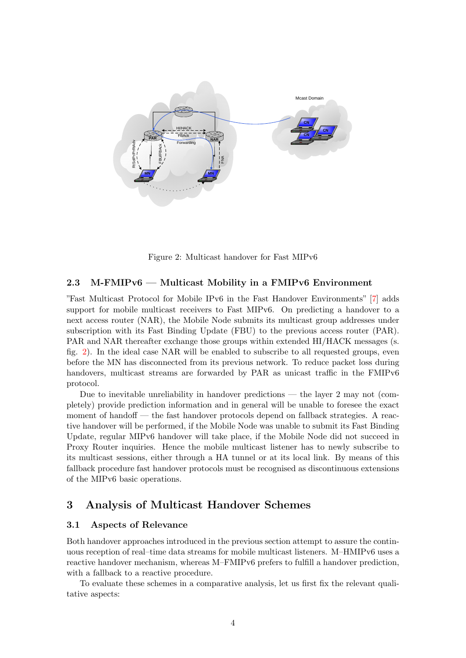

<span id="page-3-0"></span>Figure 2: Multicast handover for Fast MIPv6

## 2.3 M-FMIPv6 — Multicast Mobility in a FMIPv6 Environment

"Fast Multicast Protocol for Mobile IPv6 in the Fast Handover Environments" [\[7\]](#page-10-1) adds support for mobile multicast receivers to Fast MIPv6. On predicting a handover to a next access router (NAR), the Mobile Node submits its multicast group addresses under subscription with its Fast Binding Update (FBU) to the previous access router (PAR). PAR and NAR thereafter exchange those groups within extended HI/HACK messages (s. fig. [2\)](#page-3-0). In the ideal case NAR will be enabled to subscribe to all requested groups, even before the MN has disconnected from its previous network. To reduce packet loss during handovers, multicast streams are forwarded by PAR as unicast traffic in the FMIPv6 protocol.

Due to inevitable unreliability in handover predictions — the layer 2 may not (completely) provide prediction information and in general will be unable to foresee the exact moment of handoff — the fast handover protocols depend on fallback strategies. A reactive handover will be performed, if the Mobile Node was unable to submit its Fast Binding Update, regular MIPv6 handover will take place, if the Mobile Node did not succeed in Proxy Router inquiries. Hence the mobile multicast listener has to newly subscribe to its multicast sessions, either through a HA tunnel or at its local link. By means of this fallback procedure fast handover protocols must be recognised as discontinuous extensions of the MIPv6 basic operations.

# 3 Analysis of Multicast Handover Schemes

## 3.1 Aspects of Relevance

Both handover approaches introduced in the previous section attempt to assure the continuous reception of real–time data streams for mobile multicast listeners. M–HMIPv6 uses a reactive handover mechanism, whereas M–FMIPv6 prefers to fulfill a handover prediction, with a fallback to a reactive procedure.

To evaluate these schemes in a comparative analysis, let us first fix the relevant qualitative aspects: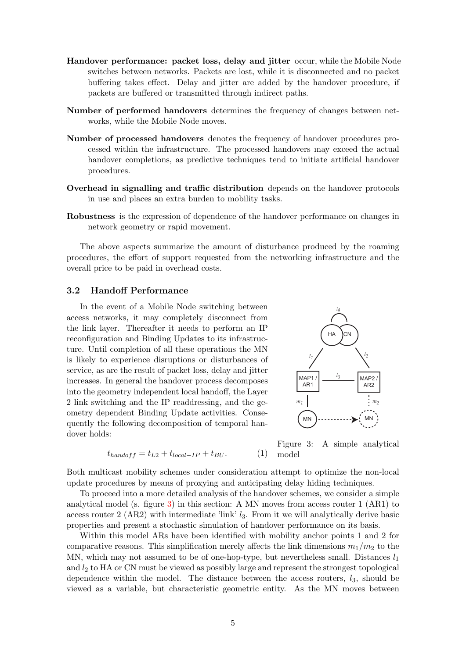- Handover performance: packet loss, delay and jitter occur, while the Mobile Node switches between networks. Packets are lost, while it is disconnected and no packet buffering takes effect. Delay and jitter are added by the handover procedure, if packets are buffered or transmitted through indirect paths.
- Number of performed handovers determines the frequency of changes between networks, while the Mobile Node moves.
- Number of processed handovers denotes the frequency of handover procedures processed within the infrastructure. The processed handovers may exceed the actual handover completions, as predictive techniques tend to initiate artificial handover procedures.
- Overhead in signalling and traffic distribution depends on the handover protocols in use and places an extra burden to mobility tasks.
- Robustness is the expression of dependence of the handover performance on changes in network geometry or rapid movement.

The above aspects summarize the amount of disturbance produced by the roaming procedures, the effort of support requested from the networking infrastructure and the overall price to be paid in overhead costs.

## <span id="page-4-1"></span>3.2 Handoff Performance

In the event of a Mobile Node switching between access networks, it may completely disconnect from the link layer. Thereafter it needs to perform an IP reconfiguration and Binding Updates to its infrastructure. Until completion of all these operations the MN is likely to experience disruptions or disturbances of service, as are the result of packet loss, delay and jitter increases. In general the handover process decomposes into the geometry independent local handoff, the Layer 2 link switching and the IP readdressing, and the geometry dependent Binding Update activities. Consequently the following decomposition of temporal handover holds:



$$
t_{handoff} = t_{L2} + t_{local-IP} + t_{BU}.\tag{1}
$$

<span id="page-4-0"></span>Figure 3: A simple analytical model

Both multicast mobility schemes under consideration attempt to optimize the non-local update procedures by means of proxying and anticipating delay hiding techniques.

To proceed into a more detailed analysis of the handover schemes, we consider a simple analytical model (s. figure [3\)](#page-4-0) in this section: A MN moves from access router  $1$  (AR1) to access router 2 (AR2) with intermediate 'link'  $l_3$ . From it we will analytically derive basic properties and present a stochastic simulation of handover performance on its basis.

Within this model ARs have been identified with mobility anchor points 1 and 2 for comparative reasons. This simplification merely affects the link dimensions  $m_1/m_2$  to the MN, which may not assumed to be of one-hop-type, but nevertheless small. Distances  $l_1$ and  $l_2$  to HA or CN must be viewed as possibly large and represent the strongest topological dependence within the model. The distance between the access routers,  $l_3$ , should be viewed as a variable, but characteristic geometric entity. As the MN moves between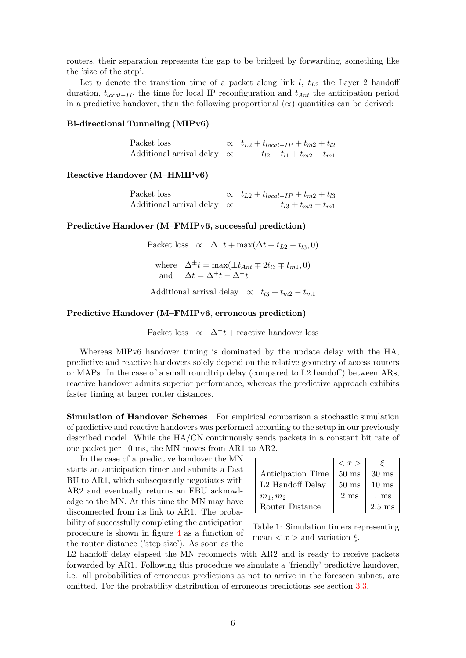routers, their separation represents the gap to be bridged by forwarding, something like the 'size of the step'.

Let  $t_l$  denote the transition time of a packet along link l,  $t_{L2}$  the Layer 2 handoff duration,  $t_{local-IP}$  the time for local IP reconfiguration and  $t_{Ant}$  the anticipation period in a predictive handover, than the following proportional  $(\infty)$  quantities can be derived:

## Bi-directional Tunneling (MIPv6)

| Packet loss                       | $\propto t_{L2} + t_{local-IP} + t_{m2} + t_{l2}$ |
|-----------------------------------|---------------------------------------------------|
| Additional arrival delay $\alpha$ | $t_{l2}-t_{l1}+t_{m2}-t_{m1}$                     |

#### Reactive Handover (M–HMIPv6)

| Packet loss                       | $\alpha$ $t_{L2} + t_{local-IP} + t_{m2} + t_{l3}$ |
|-----------------------------------|----------------------------------------------------|
| Additional arrival delay $\alpha$ | $t_{l3} + t_{m2} - t_{m1}$                         |

## Predictive Handover (M–FMIPv6, successful prediction)

Packet loss  $\alpha$   $\Delta^- t + \max(\Delta t + t_{L2} - t_{R3}, 0)$ where  $\Delta^{\pm} t = \max(\pm t_{Ant} \mp 2t_{l3} \mp t_{m1}, 0)$ and  $\Delta t = \Delta^+ t - \Delta^- t$ 

Additional arrival delay  $\alpha t_{13} + t_{m2} - t_{m1}$ 

#### Predictive Handover (M–FMIPv6, erroneous prediction)

Packet loss  $\alpha$   $\Delta^+ t$  + reactive handover loss

Whereas MIPv6 handover timing is dominated by the update delay with the HA, predictive and reactive handovers solely depend on the relative geometry of access routers or MAPs. In the case of a small roundtrip delay (compared to L2 handoff) between ARs, reactive handover admits superior performance, whereas the predictive approach exhibits faster timing at larger router distances.

Simulation of Handover Schemes For empirical comparison a stochastic simulation of predictive and reactive handovers was performed according to the setup in our previously described model. While the HA/CN continuously sends packets in a constant bit rate of one packet per 10 ms, the MN moves from AR1 to AR2.

In the case of a predictive handover the MN starts an anticipation timer and submits a Fast BU to AR1, which subsequently negotiates with AR2 and eventually returns an FBU acknowledge to the MN. At this time the MN may have disconnected from its link to AR1. The probability of successfully completing the anticipation procedure is shown in figure [4](#page-6-0) as a function of the router distance ('step size'). As soon as the

|                   | $\langle x \rangle$ |                  |
|-------------------|---------------------|------------------|
| Anticipation Time | $50 \text{ ms}$     | $30 \text{ ms}$  |
| L2 Handoff Delay  | $50 \text{ ms}$     | $10 \text{ ms}$  |
| $m_1, m_2$        | $2 \text{ ms}$      | $1 \text{ ms}$   |
| Router Distance   |                     | $2.5 \text{ ms}$ |

<span id="page-5-0"></span>Table 1: Simulation timers representing mean  $\langle x \rangle$  and variation  $\xi$ .

L2 handoff delay elapsed the MN reconnects with AR2 and is ready to receive packets forwarded by AR1. Following this procedure we simulate a 'friendly' predictive handover, i.e. all probabilities of erroneous predictions as not to arrive in the foreseen subnet, are omitted. For the probability distribution of erroneous predictions see section [3.3.](#page-6-1)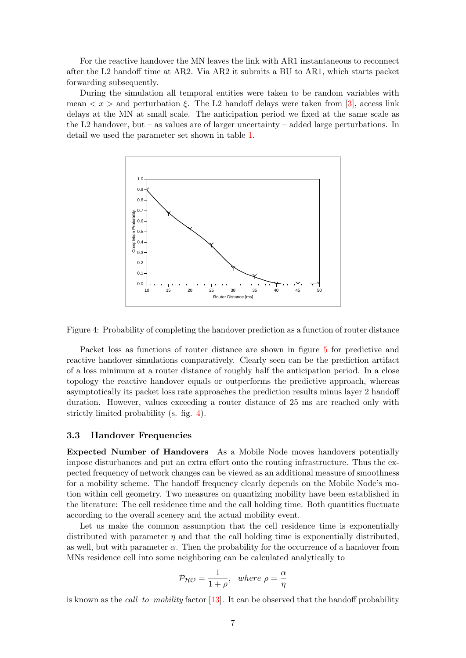For the reactive handover the MN leaves the link with AR1 instantaneous to reconnect after the L2 handoff time at AR2. Via AR2 it submits a BU to AR1, which starts packet forwarding subsequently.

During the simulation all temporal entities were taken to be random variables with mean  $\langle x \rangle$  and perturbation  $\xi$ . The L2 handoff delays were taken from [\[3\]](#page-9-1), access link delays at the MN at small scale. The anticipation period we fixed at the same scale as the  $L2$  handover, but – as values are of larger uncertainty – added large perturbations. In detail we used the parameter set shown in table [1.](#page-5-0)



<span id="page-6-0"></span>Figure 4: Probability of completing the handover prediction as a function of router distance

Packet loss as functions of router distance are shown in figure [5](#page-7-0) for predictive and reactive handover simulations comparatively. Clearly seen can be the prediction artifact of a loss minimum at a router distance of roughly half the anticipation period. In a close topology the reactive handover equals or outperforms the predictive approach, whereas asymptotically its packet loss rate approaches the prediction results minus layer 2 handoff duration. However, values exceeding a router distance of 25 ms are reached only with strictly limited probability (s. fig. [4\)](#page-6-0).

#### <span id="page-6-1"></span>3.3 Handover Frequencies

Expected Number of Handovers As a Mobile Node moves handovers potentially impose disturbances and put an extra effort onto the routing infrastructure. Thus the expected frequency of network changes can be viewed as an additional measure of smoothness for a mobility scheme. The handoff frequency clearly depends on the Mobile Node's motion within cell geometry. Two measures on quantizing mobility have been established in the literature: The cell residence time and the call holding time. Both quantities fluctuate according to the overall scenery and the actual mobility event.

Let us make the common assumption that the cell residence time is exponentially distributed with parameter  $\eta$  and that the call holding time is exponentially distributed, as well, but with parameter  $\alpha$ . Then the probability for the occurrence of a handover from MNs residence cell into some neighboring can be calculated analytically to

$$
\mathcal{P}_{\mathcal{HO}} = \frac{1}{1+\rho}, \text{ where } \rho = \frac{\alpha}{\eta}
$$

is known as the  $call-to-mobility$  factor [\[13\]](#page-10-7). It can be observed that the handoff probability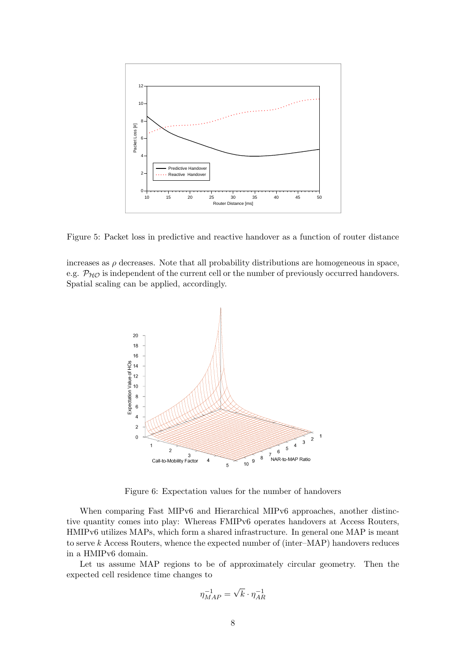

<span id="page-7-0"></span>Figure 5: Packet loss in predictive and reactive handover as a function of router distance

increases as  $\rho$  decreases. Note that all probability distributions are homogeneous in space, e.g.  $P_{H\mathcal{O}}$  is independent of the current cell or the number of previously occurred handovers. Spatial scaling can be applied, accordingly.



<span id="page-7-1"></span>Figure 6: Expectation values for the number of handovers

When comparing Fast MIPv6 and Hierarchical MIPv6 approaches, another distinctive quantity comes into play: Whereas FMIPv6 operates handovers at Access Routers, HMIPv6 utilizes MAPs, which form a shared infrastructure. In general one MAP is meant to serve k Access Routers, whence the expected number of (inter–MAP) handovers reduces in a HMIPv6 domain.

Let us assume MAP regions to be of approximately circular geometry. Then the expected cell residence time changes to

$$
\eta_{MAP}^{-1} = \sqrt{k} \cdot \eta_{AR}^{-1}
$$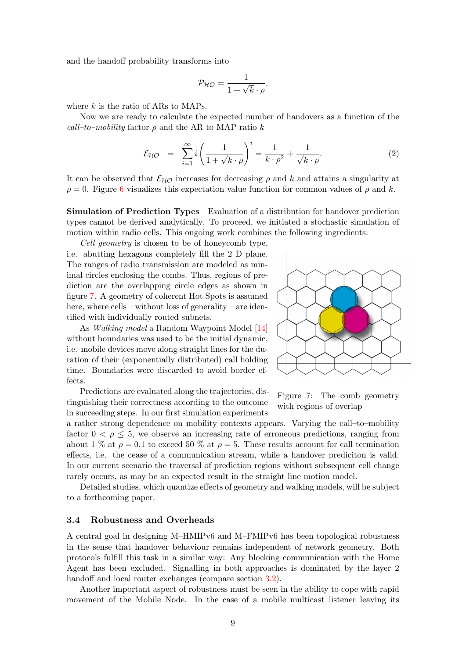and the handoff probability transforms into

$$
\mathcal{P}_{\mathcal{HO}} = \frac{1}{1 + \sqrt{k} \cdot \rho},
$$

where  $k$  is the ratio of ARs to MAPs.

Now we are ready to calculate the expected number of handovers as a function of the call–to–mobility factor  $\rho$  and the AR to MAP ratio k

$$
\mathcal{E}_{\mathcal{H}\mathcal{O}} = \sum_{i=1}^{\infty} i \left( \frac{1}{1 + \sqrt{k} \cdot \rho} \right)^i = \frac{1}{k \cdot \rho^2} + \frac{1}{\sqrt{k} \cdot \rho}.
$$
 (2)

It can be observed that  $\mathcal{E}_{H\mathcal{O}}$  increases for decreasing  $\rho$  and k and attains a singularity at  $\rho = 0$ . Figure [6](#page-7-1) visualizes this expectation value function for common values of  $\rho$  and k.

Simulation of Prediction Types Evaluation of a distribution for handover prediction types cannot be derived analytically. To proceed, we initiated a stochastic simulation of motion within radio cells. This ongoing work combines the following ingredients:

Cell geometry is chosen to be of honeycomb type,

i.e. abutting hexagons completely fill the 2 D plane. The ranges of radio transmission are modeled as minimal circles enclosing the combs. Thus, regions of prediction are the overlapping circle edges as shown in figure [7.](#page-8-0) A geometry of coherent Hot Spots is assumed here, where cells – without loss of generality – are identified with individually routed subnets.

As Walking model a Random Waypoint Model [\[14\]](#page-10-8) without boundaries was used to be the initial dynamic, i.e. mobile devices move along straight lines for the duration of their (exponentially distributed) call holding time. Boundaries were discarded to avoid border effects.

Predictions are evaluated along the trajectories, distinguishing their correctness according to the outcome in succeeding steps. In our first simulation experiments



<span id="page-8-0"></span>Figure 7: The comb geometry with regions of overlap

a rather strong dependence on mobility contexts appears. Varying the call–to–mobility factor  $0 < \rho \leq 5$ , we observe an increasing rate of erroneous predictions, ranging from about 1 % at  $\rho = 0.1$  to exceed 50 % at  $\rho = 5$ . These results account for call termination effects, i.e. the cease of a communication stream, while a handover prediciton is valid. In our current scenario the traversal of prediction regions without subsequent cell change rarely occurs, as may be an expected result in the straight line motion model.

Detailed studies, which quantize effects of geometry and walking models, will be subject to a forthcoming paper.

### 3.4 Robustness and Overheads

A central goal in designing M–HMIPv6 and M–FMIPv6 has been topological robustness in the sense that handover behaviour remains independent of network geometry. Both protocols fulfill this task in a similar way: Any blocking communication with the Home Agent has been excluded. Signalling in both approaches is dominated by the layer 2 handoff and local router exchanges (compare section [3.2\)](#page-4-1).

Another important aspect of robustness must be seen in the ability to cope with rapid movement of the Mobile Node. In the case of a mobile multicast listener leaving its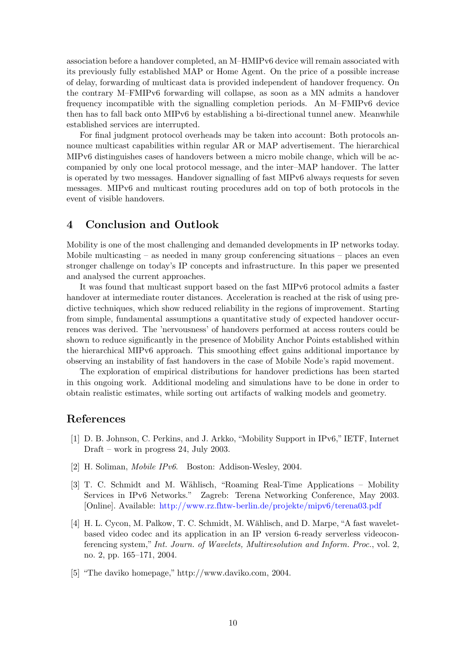association before a handover completed, an M–HMIPv6 device will remain associated with its previously fully established MAP or Home Agent. On the price of a possible increase of delay, forwarding of multicast data is provided independent of handover frequency. On the contrary M–FMIPv6 forwarding will collapse, as soon as a MN admits a handover frequency incompatible with the signalling completion periods. An M–FMIPv6 device then has to fall back onto MIPv6 by establishing a bi-directional tunnel anew. Meanwhile established services are interrupted.

For final judgment protocol overheads may be taken into account: Both protocols announce multicast capabilities within regular AR or MAP advertisement. The hierarchical MIPv6 distinguishes cases of handovers between a micro mobile change, which will be accompanied by only one local protocol message, and the inter–MAP handover. The latter is operated by two messages. Handover signalling of fast MIPv6 always requests for seven messages. MIPv6 and multicast routing procedures add on top of both protocols in the event of visible handovers.

## 4 Conclusion and Outlook

Mobility is one of the most challenging and demanded developments in IP networks today. Mobile multicasting  $-$  as needed in many group conferencing situations  $-$  places an even stronger challenge on today's IP concepts and infrastructure. In this paper we presented and analysed the current approaches.

It was found that multicast support based on the fast MIPv6 protocol admits a faster handover at intermediate router distances. Acceleration is reached at the risk of using predictive techniques, which show reduced reliability in the regions of improvement. Starting from simple, fundamental assumptions a quantitative study of expected handover occurrences was derived. The 'nervousness' of handovers performed at access routers could be shown to reduce significantly in the presence of Mobility Anchor Points established within the hierarchical MIPv6 approach. This smoothing effect gains additional importance by observing an instability of fast handovers in the case of Mobile Node's rapid movement.

The exploration of empirical distributions for handover predictions has been started in this ongoing work. Additional modeling and simulations have to be done in order to obtain realistic estimates, while sorting out artifacts of walking models and geometry.

# References

- <span id="page-9-0"></span>[1] D. B. Johnson, C. Perkins, and J. Arkko, "Mobility Support in IPv6," IETF, Internet Draft – work in progress 24, July 2003.
- [2] H. Soliman, Mobile IPv6. Boston: Addison-Wesley, 2004.
- <span id="page-9-1"></span>[3] T. C. Schmidt and M. Wählisch, "Roaming Real-Time Applications – Mobility Services in IPv6 Networks." Zagreb: Terena Networking Conference, May 2003. [Online]. Available: <http://www.rz.fhtw-berlin.de/projekte/mipv6/terena03.pdf>
- <span id="page-9-2"></span>[4] H. L. Cycon, M. Palkow, T. C. Schmidt, M. Wählisch, and D. Marpe, "A fast waveletbased video codec and its application in an IP version 6-ready serverless videoconferencing system," Int. Journ. of Wavelets, Multiresolution and Inform. Proc., vol. 2, no. 2, pp. 165–171, 2004.
- <span id="page-9-3"></span>[5] "The daviko homepage," http://www.daviko.com, 2004.